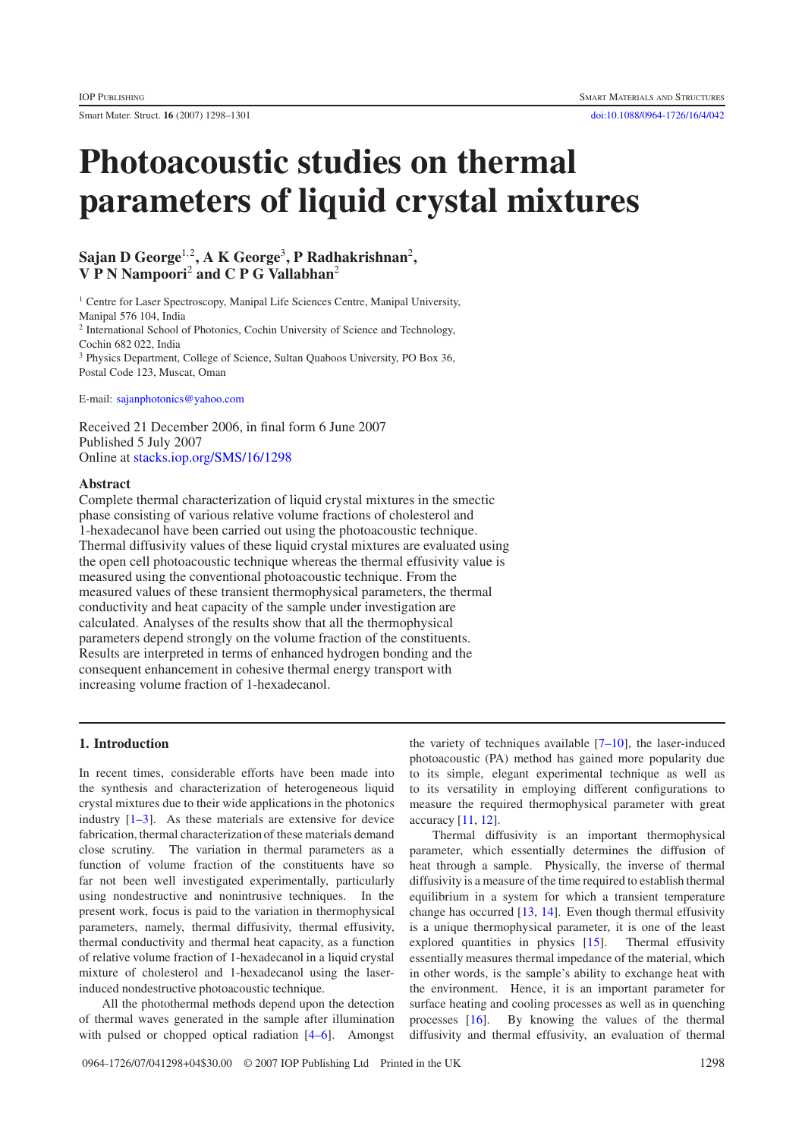# **Photoacoustic studies on thermal parameters of liquid crystal mixtures**

# **Sajan D George**<sup>1</sup>,<sup>2</sup>**, A K George**<sup>3</sup>**, P Radhakrishnan**<sup>2</sup>**, V P N Nampoori**<sup>2</sup> **and C P G Vallabhan**<sup>2</sup>

<sup>1</sup> Centre for Laser Spectroscopy, Manipal Life Sciences Centre, Manipal University, Manipal 576 104, India <sup>2</sup> International School of Photonics, Cochin University of Science and Technology, Cochin 682 022, India <sup>3</sup> Physics Department, College of Science, Sultan Quaboos University, PO Box 36, Postal Code 123, Muscat, Oman

E-mail: [sajanphotonics@yahoo.com](mailto:sajanphotonics@yahoo.com)

Received 21 December 2006, in final form 6 June 2007 Published 5 July 2007 Online at [stacks.iop.org/SMS/16/1298](http://stacks.iop.org/SMS/16/1298)

#### **Abstract**

Complete thermal characterization of liquid crystal mixtures in the smectic phase consisting of various relative volume fractions of cholesterol and 1-hexadecanol have been carried out using the photoacoustic technique. Thermal diffusivity values of these liquid crystal mixtures are evaluated using the open cell photoacoustic technique whereas the thermal effusivity value is measured using the conventional photoacoustic technique. From the measured values of these transient thermophysical parameters, the thermal conductivity and heat capacity of the sample under investigation are calculated. Analyses of the results show that all the thermophysical parameters depend strongly on the volume fraction of the constituents. Results are interpreted in terms of enhanced hydrogen bonding and the consequent enhancement in cohesive thermal energy transport with increasing volume fraction of 1-hexadecanol.

#### **1. Introduction**

In recent times, considerable efforts have been made into the synthesis and characterization of heterogeneous liquid crystal mixtures due to their wide applications in the photonics industry [\[1–3\]](#page-3-0). As these materials are extensive for device fabrication, thermal characterization of these materials demand close scrutiny. The variation in thermal parameters as a function of volume fraction of the constituents have so far not been well investigated experimentally, particularly using nondestructive and nonintrusive techniques. In the present work, focus is paid to the variation in thermophysical parameters, namely, thermal diffusivity, thermal effusivity, thermal conductivity and thermal heat capacity, as a function of relative volume fraction of 1-hexadecanol in a liquid crystal mixture of cholesterol and 1-hexadecanol using the laserinduced nondestructive photoacoustic technique.

All the photothermal methods depend upon the detection of thermal waves generated in the sample after illumination with pulsed or chopped optical radiation [\[4–6\]](#page-3-1). Amongst

the variety of techniques available  $[7–10]$ , the laser-induced photoacoustic (PA) method has gained more popularity due to its simple, elegant experimental technique as well as to its versatility in employing different configurations to measure the required thermophysical parameter with great accuracy  $[11, 12]$  $[11, 12]$  $[11, 12]$ .

Thermal diffusivity is an important thermophysical parameter, which essentially determines the diffusion of heat through a sample. Physically, the inverse of thermal diffusivity is a measure of the time required to establish thermal equilibrium in a system for which a transient temperature change has occurred [\[13,](#page-3-5) [14\]](#page-3-6). Even though thermal effusivity is a unique thermophysical parameter, it is one of the least explored quantities in physics [\[15\]](#page-3-7). Thermal effusivity essentially measures thermal impedance of the material, which in other words, is the sample's ability to exchange heat with the environment. Hence, it is an important parameter for surface heating and cooling processes as well as in quenching processes [\[16\]](#page-3-8). By knowing the values of the thermal diffusivity and thermal effusivity, an evaluation of thermal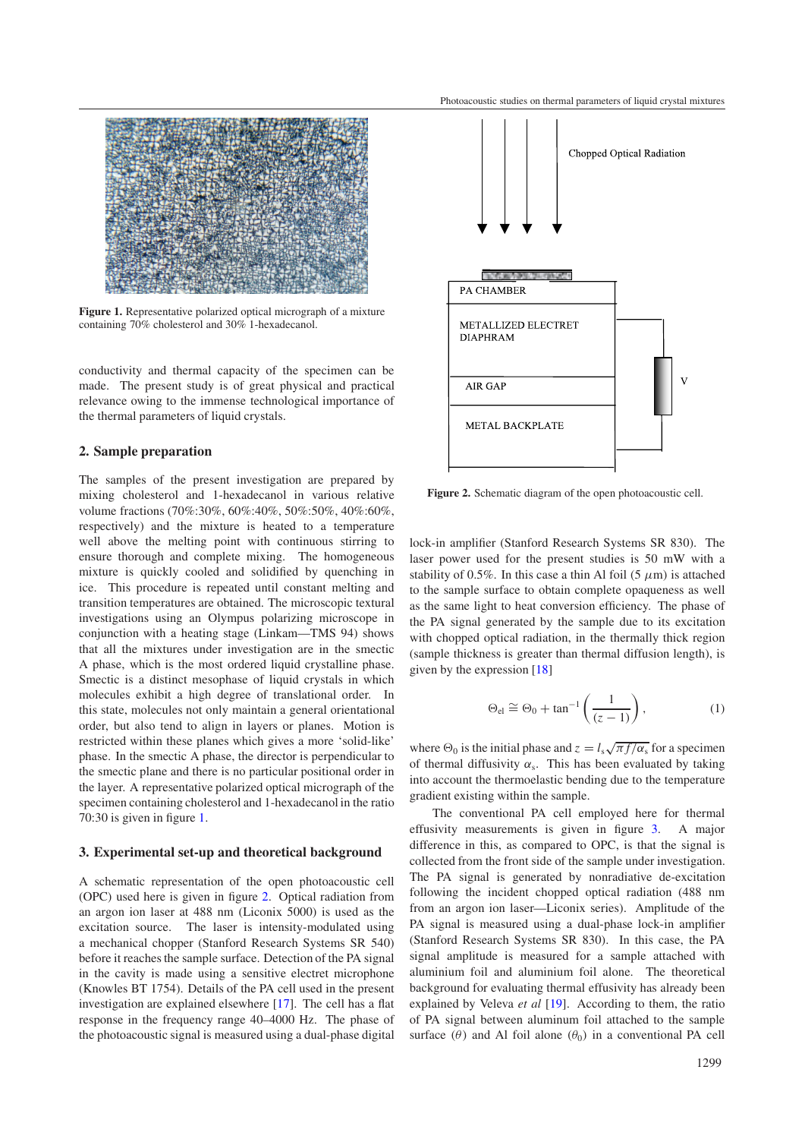<span id="page-1-0"></span>

**Figure 1.** Representative polarized optical micrograph of a mixture containing 70% cholesterol and 30% 1-hexadecanol.

conductivity and thermal capacity of the specimen can be made. The present study is of great physical and practical relevance owing to the immense technological importance of the thermal parameters of liquid crystals.

#### **2. Sample preparation**

The samples of the present investigation are prepared by mixing cholesterol and 1-hexadecanol in various relative volume fractions (70%:30%, 60%:40%, 50%:50%, 40%:60%, respectively) and the mixture is heated to a temperature well above the melting point with continuous stirring to ensure thorough and complete mixing. The homogeneous mixture is quickly cooled and solidified by quenching in ice. This procedure is repeated until constant melting and transition temperatures are obtained. The microscopic textural investigations using an Olympus polarizing microscope in conjunction with a heating stage (Linkam—TMS 94) shows that all the mixtures under investigation are in the smectic A phase, which is the most ordered liquid crystalline phase. Smectic is a distinct mesophase of liquid crystals in which molecules exhibit a high degree of translational order. In this state, molecules not only maintain a general orientational order, but also tend to align in layers or planes. Motion is restricted within these planes which gives a more 'solid-like' phase. In the smectic A phase, the director is perpendicular to the smectic plane and there is no particular positional order in the layer. A representative polarized optical micrograph of the specimen containing cholesterol and 1-hexadecanol in the ratio 70:30 is given in figure [1.](#page-1-0)

#### **3. Experimental set-up and theoretical background**

A schematic representation of the open photoacoustic cell (OPC) used here is given in figure [2.](#page-1-1) Optical radiation from an argon ion laser at 488 nm (Liconix 5000) is used as the excitation source. The laser is intensity-modulated using a mechanical chopper (Stanford Research Systems SR 540) before it reaches the sample surface. Detection of the PA signal in the cavity is made using a sensitive electret microphone (Knowles BT 1754). Details of the PA cell used in the present investigation are explained elsewhere [\[17\]](#page-3-9). The cell has a flat response in the frequency range 40–4000 Hz. The phase of the photoacoustic signal is measured using a dual-phase digital

<span id="page-1-1"></span>

**Figure 2.** Schematic diagram of the open photoacoustic cell.

lock-in amplifier (Stanford Research Systems SR 830). The laser power used for the present studies is 50 mW with a stability of 0.5%. In this case a thin Al foil (5  $\mu$ m) is attached to the sample surface to obtain complete opaqueness as well as the same light to heat conversion efficiency. The phase of the PA signal generated by the sample due to its excitation with chopped optical radiation, in the thermally thick region (sample thickness is greater than thermal diffusion length), is given by the expression [\[18\]](#page-3-10)

$$
\Theta_{\rm el} \cong \Theta_0 + \tan^{-1}\left(\frac{1}{(z-1)}\right),\tag{1}
$$

where  $\Theta_0$  is the initial phase and  $z = l_s \sqrt{\pi f/\alpha_s}$  for a specimen of thermal diffusivity  $\alpha_s$ . This has been evaluated by taking into account the thermoelastic bending due to the temperature gradient existing within the sample.

The conventional PA cell employed here for thermal effusivity measurements is given in figure [3.](#page-2-0) A major difference in this, as compared to OPC, is that the signal is collected from the front side of the sample under investigation. The PA signal is generated by nonradiative de-excitation following the incident chopped optical radiation (488 nm from an argon ion laser—Liconix series). Amplitude of the PA signal is measured using a dual-phase lock-in amplifier (Stanford Research Systems SR 830). In this case, the PA signal amplitude is measured for a sample attached with aluminium foil and aluminium foil alone. The theoretical background for evaluating thermal effusivity has already been explained by Veleva *et al* [\[19\]](#page-3-11). According to them, the ratio of PA signal between aluminum foil attached to the sample surface ( $\theta$ ) and Al foil alone ( $\theta$ <sub>0</sub>) in a conventional PA cell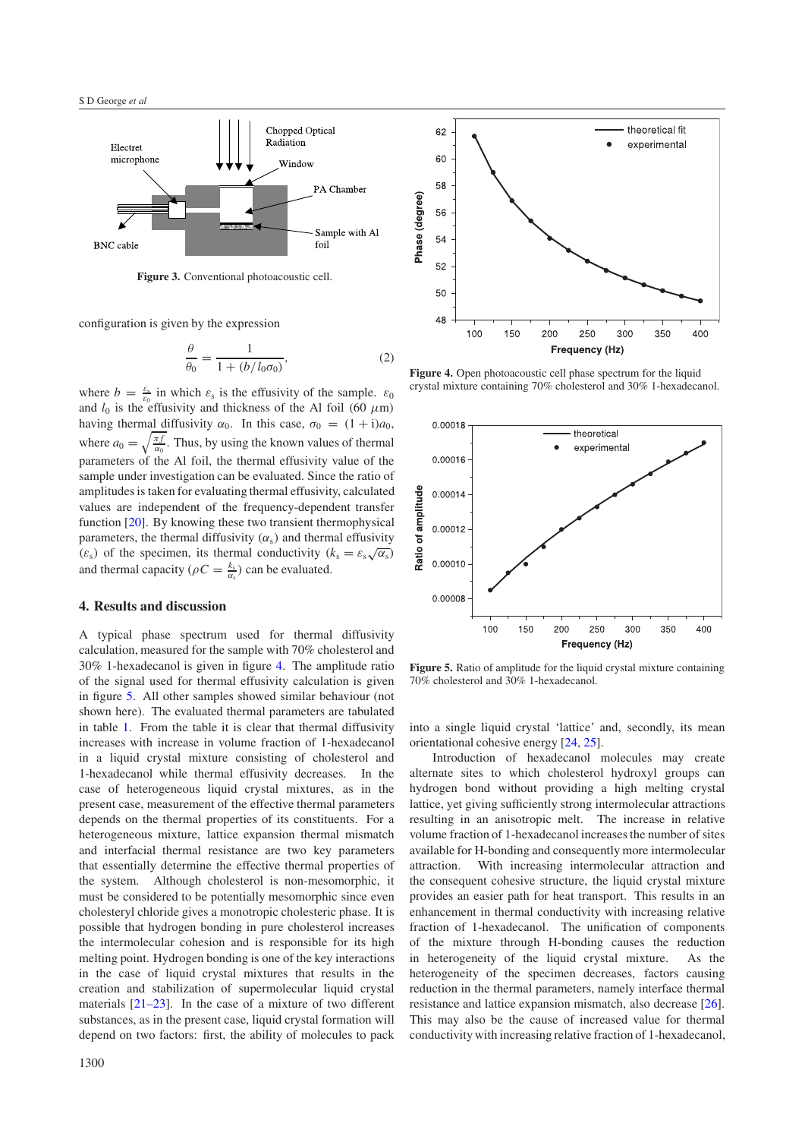<span id="page-2-0"></span>

**Figure 3.** Conventional photoacoustic cell.

configuration is given by the expression

$$
\frac{\theta}{\theta_0} = \frac{1}{1 + (b/l_0 \sigma_0)},\tag{2}
$$

where  $b = \frac{\varepsilon_s}{\varepsilon_0}$  in which  $\varepsilon_s$  is the effusivity of the sample.  $\varepsilon_0$ and  $l_0$  is the effusivity and thickness of the Al foil (60  $\mu$ m) having thermal diffusivity  $\alpha_0$ . In this case,  $\sigma_0 = (1 + i)a_0$ , where  $a_0 = \sqrt{\frac{\pi f}{\alpha_0}}$ . Thus, by using the known values of thermal parameters of the Al foil, the thermal effusivity value of the sample under investigation can be evaluated. Since the ratio of amplitudes is taken for evaluating thermal effusivity, calculated values are independent of the frequency-dependent transfer function [\[20\]](#page-3-12). By knowing these two transient thermophysical parameters, the thermal diffusivity  $(\alpha_s)$  and thermal effusivity parameters, the thermal diffusivity ( $\alpha_s$ ) and thermal conductivity ( $k_s = \varepsilon_s \sqrt{\alpha_s}$ ) and thermal capacity ( $\rho C = \frac{k_s}{\alpha_s}$ ) can be evaluated.

#### **4. Results and discussion**

A typical phase spectrum used for thermal diffusivity calculation, measured for the sample with 70% cholesterol and 30% 1-hexadecanol is given in figure [4.](#page-2-1) The amplitude ratio of the signal used for thermal effusivity calculation is given in figure [5.](#page-2-2) All other samples showed similar behaviour (not shown here). The evaluated thermal parameters are tabulated in table [1.](#page-3-13) From the table it is clear that thermal diffusivity increases with increase in volume fraction of 1-hexadecanol in a liquid crystal mixture consisting of cholesterol and 1-hexadecanol while thermal effusivity decreases. In the case of heterogeneous liquid crystal mixtures, as in the present case, measurement of the effective thermal parameters depends on the thermal properties of its constituents. For a heterogeneous mixture, lattice expansion thermal mismatch and interfacial thermal resistance are two key parameters that essentially determine the effective thermal properties of the system. Although cholesterol is non-mesomorphic, it must be considered to be potentially mesomorphic since even cholesteryl chloride gives a monotropic cholesteric phase. It is possible that hydrogen bonding in pure cholesterol increases the intermolecular cohesion and is responsible for its high melting point. Hydrogen bonding is one of the key interactions in the case of liquid crystal mixtures that results in the creation and stabilization of supermolecular liquid crystal materials [\[21–23\]](#page-3-14). In the case of a mixture of two different substances, as in the present case, liquid crystal formation will depend on two factors: first, the ability of molecules to pack

<span id="page-2-1"></span>

<span id="page-2-2"></span>**Figure 4.** Open photoacoustic cell phase spectrum for the liquid crystal mixture containing 70% cholesterol and 30% 1-hexadecanol.



**Figure 5.** Ratio of amplitude for the liquid crystal mixture containing 70% cholesterol and 30% 1-hexadecanol.

into a single liquid crystal 'lattice' and, secondly, its mean orientational cohesive energy [\[24,](#page-3-15) [25\]](#page-3-16).

Introduction of hexadecanol molecules may create alternate sites to which cholesterol hydroxyl groups can hydrogen bond without providing a high melting crystal lattice, yet giving sufficiently strong intermolecular attractions resulting in an anisotropic melt. The increase in relative volume fraction of 1-hexadecanol increases the number of sites available for H-bonding and consequently more intermolecular attraction. With increasing intermolecular attraction and the consequent cohesive structure, the liquid crystal mixture provides an easier path for heat transport. This results in an enhancement in thermal conductivity with increasing relative fraction of 1-hexadecanol. The unification of components of the mixture through H-bonding causes the reduction in heterogeneity of the liquid crystal mixture. As the heterogeneity of the specimen decreases, factors causing reduction in the thermal parameters, namely interface thermal resistance and lattice expansion mismatch, also decrease [\[26\]](#page-3-17). This may also be the cause of increased value for thermal conductivity with increasing relative fraction of 1-hexadecanol,